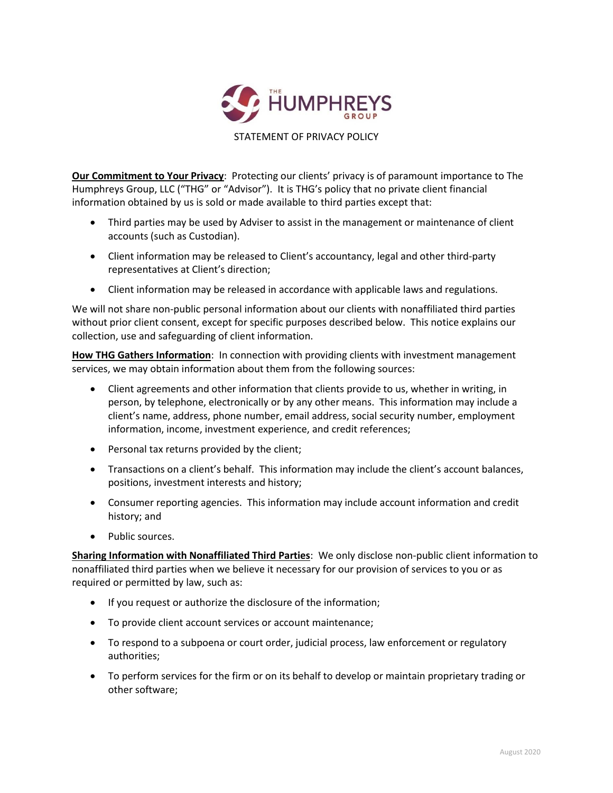

**Our Commitment to Your Privacy:** Protecting our clients' privacy is of paramount importance to The Humphreys Group, LLC ("THG" or "Advisor"). It is THG's policy that no private client financial information obtained by us is sold or made available to third parties except that:

- Third parties may be used by Adviser to assist in the management or maintenance of client accounts (such as Custodian).
- Client information may be released to Client's accountancy, legal and other third-party representatives at Client's direction;
- Client information may be released in accordance with applicable laws and regulations.

We will not share non-public personal information about our clients with nonaffiliated third parties without prior client consent, except for specific purposes described below. This notice explains our collection, use and safeguarding of client information.

**How THG Gathers Information**: In connection with providing clients with investment management services, we may obtain information about them from the following sources:

- Client agreements and other information that clients provide to us, whether in writing, in person, by telephone, electronically or by any other means. This information may include a client's name, address, phone number, email address, social security number, employment information, income, investment experience, and credit references;
- Personal tax returns provided by the client;
- Transactions on a client's behalf. This information may include the client's account balances, positions, investment interests and history;
- Consumer reporting agencies. This information may include account information and credit history; and
- Public sources.

**Sharing Information with Nonaffiliated Third Parties**: We only disclose non-public client information to nonaffiliated third parties when we believe it necessary for our provision of services to you or as required or permitted by law, such as:

- If you request or authorize the disclosure of the information;
- To provide client account services or account maintenance;
- To respond to a subpoena or court order, judicial process, law enforcement or regulatory authorities;
- To perform services for the firm or on its behalf to develop or maintain proprietary trading or other software;